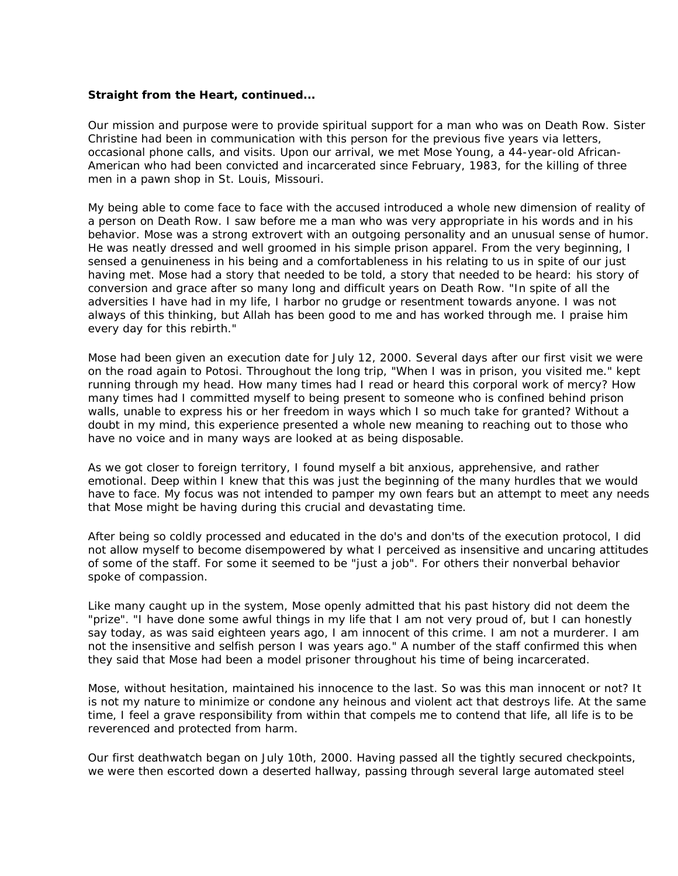## *Straight from the Heart, continued...*

Our mission and purpose were to provide spiritual support for a man who was on Death Row. Sister Christine had been in communication with this person for the previous five years via letters, occasional phone calls, and visits. Upon our arrival, we met Mose Young, a 44-year-old African-American who had been convicted and incarcerated since February, 1983, for the killing of three men in a pawn shop in St. Louis, Missouri.

My being able to come face to face with the accused introduced a whole new dimension of reality of a person on Death Row. I saw before me a man who was very appropriate in his words and in his behavior. Mose was a strong extrovert with an outgoing personality and an unusual sense of humor. He was neatly dressed and well groomed in his simple prison apparel. From the very beginning, I sensed a genuineness in his being and a comfortableness in his relating to us in spite of our just having met. Mose had a story that needed to be told, a story that needed to be heard: his story of conversion and grace after so many long and difficult years on Death Row. "In spite of all the adversities I have had in my life, I harbor no grudge or resentment towards anyone. I was not always of this thinking, but Allah has been good to me and has worked through me. I praise him every day for this rebirth."

Mose had been given an execution date for July 12, 2000. Several days after our first visit we were on the road again to Potosi. Throughout the long trip, "When I was in prison, you visited me." kept running through my head. How many times had I read or heard this corporal work of mercy? How many times had I committed myself to being present to someone who is confined behind prison walls, unable to express his or her freedom in ways which I so much take for granted? Without a doubt in my mind, this experience presented a whole new meaning to reaching out to those who have no voice and in many ways are looked at as being disposable.

As we got closer to foreign territory, I found myself a bit anxious, apprehensive, and rather emotional. Deep within I knew that this was just the beginning of the many hurdles that we would have to face. My focus was not intended to pamper my own fears but an attempt to meet any needs that Mose might be having during this crucial and devastating time.

After being so coldly processed and educated in the do's and don'ts of the execution protocol, I did not allow myself to become disempowered by what I perceived as insensitive and uncaring attitudes of some of the staff. For some it seemed to be "just a job". For others their nonverbal behavior spoke of compassion.

Like many caught up in the system, Mose openly admitted that his past history did not deem the "prize". "I have done some awful things in my life that I am not very proud of, but I can honestly say today, as was said eighteen years ago, I am innocent of this crime. I am not a murderer. I am not the insensitive and selfish person I was years ago." A number of the staff confirmed this when they said that Mose had been a model prisoner throughout his time of being incarcerated.

Mose, without hesitation, maintained his innocence to the last. So was this man innocent or not? It is not my nature to minimize or condone any heinous and violent act that destroys life. At the same time, I feel a grave responsibility from within that compels me to contend that life, all life is to be reverenced and protected from harm.

Our first deathwatch began on July 10th, 2000. Having passed all the tightly secured checkpoints, we were then escorted down a deserted hallway, passing through several large automated steel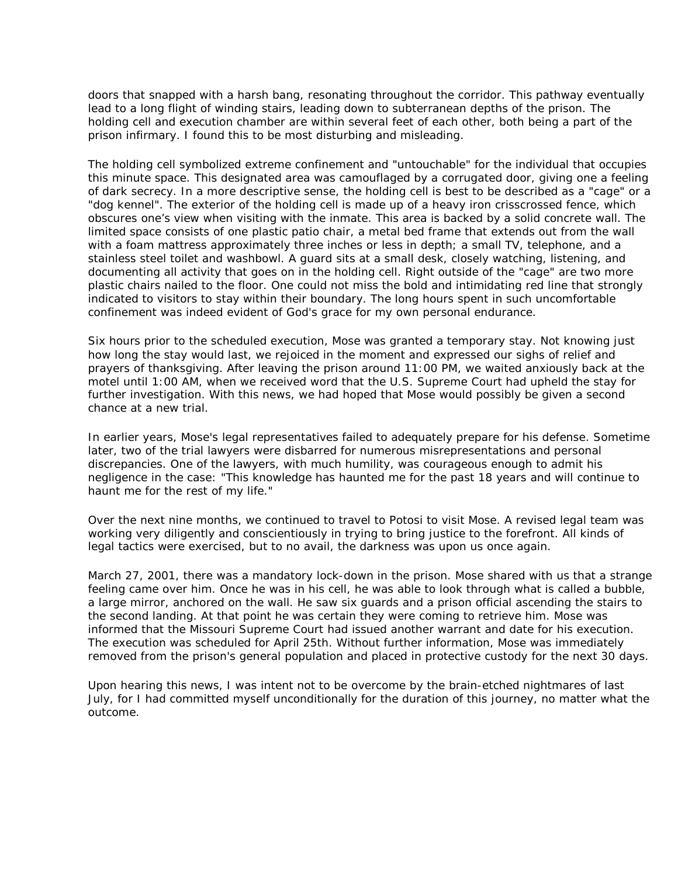doors that snapped with a harsh bang, resonating throughout the corridor. This pathway eventually lead to a long flight of winding stairs, leading down to subterranean depths of the prison. The holding cell and execution chamber are within several feet of each other, both being a part of the prison infirmary. I found this to be most disturbing and misleading.

The holding cell symbolized extreme confinement and "untouchable" for the individual that occupies this minute space. This designated area was camouflaged by a corrugated door, giving one a feeling of dark secrecy. In a more descriptive sense, the holding cell is best to be described as a "cage" or a "dog kennel". The exterior of the holding cell is made up of a heavy iron crisscrossed fence, which obscures one's view when visiting with the inmate. This area is backed by a solid concrete wall. The limited space consists of one plastic patio chair, a metal bed frame that extends out from the wall with a foam mattress approximately three inches or less in depth; a small TV, telephone, and a stainless steel toilet and washbowl. A guard sits at a small desk, closely watching, listening, and documenting all activity that goes on in the holding cell. Right outside of the "cage" are two more plastic chairs nailed to the floor. One could not miss the bold and intimidating red line that strongly indicated to visitors to stay within their boundary. The long hours spent in such uncomfortable confinement was indeed evident of God's grace for my own personal endurance.

Six hours prior to the scheduled execution, Mose was granted a temporary stay. Not knowing just how long the stay would last, we rejoiced in the moment and expressed our sighs of relief and prayers of thanksgiving. After leaving the prison around 11:00 PM, we waited anxiously back at the motel until 1:00 AM, when we received word that the U.S. Supreme Court had upheld the stay for further investigation. With this news, we had hoped that Mose would possibly be given a second chance at a new trial.

In earlier years, Mose's legal representatives failed to adequately prepare for his defense. Sometime later, two of the trial lawyers were disbarred for numerous misrepresentations and personal discrepancies. One of the lawyers, with much humility, was courageous enough to admit his negligence in the case: "This knowledge has haunted me for the past 18 years and will continue to haunt me for the rest of my life."

Over the next nine months, we continued to travel to Potosi to visit Mose. A revised legal team was working very diligently and conscientiously in trying to bring justice to the forefront. All kinds of legal tactics were exercised, but to no avail, the darkness was upon us once again.

March 27, 2001, there was a mandatory lock-down in the prison. Mose shared with us that a strange feeling came over him. Once he was in his cell, he was able to look through what is called a bubble, a large mirror, anchored on the wall. He saw six guards and a prison official ascending the stairs to the second landing. At that point he was certain they were coming to retrieve him. Mose was informed that the Missouri Supreme Court had issued another warrant and date for his execution. The execution was scheduled for April 25th. Without further information, Mose was immediately removed from the prison's general population and placed in protective custody for the next 30 days.

Upon hearing this news, I was intent not to be overcome by the brain-etched nightmares of last July, for I had committed myself unconditionally for the duration of this journey, no matter what the outcome.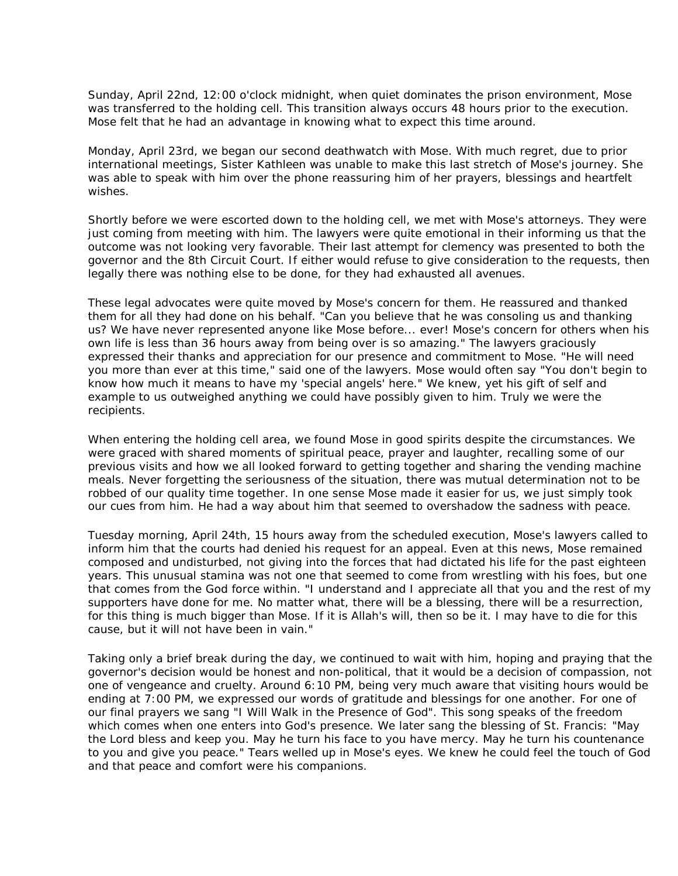Sunday, April 22nd, 12:00 o'clock midnight, when quiet dominates the prison environment, Mose was transferred to the holding cell. This transition always occurs 48 hours prior to the execution. Mose felt that he had an advantage in knowing what to expect this time around.

Monday, April 23rd, we began our second deathwatch with Mose. With much regret, due to prior international meetings, Sister Kathleen was unable to make this last stretch of Mose's journey. She was able to speak with him over the phone reassuring him of her prayers, blessings and heartfelt wishes.

Shortly before we were escorted down to the holding cell, we met with Mose's attorneys. They were just coming from meeting with him. The lawyers were quite emotional in their informing us that the outcome was not looking very favorable. Their last attempt for clemency was presented to both the governor and the 8th Circuit Court. If either would refuse to give consideration to the requests, then legally there was nothing else to be done, for they had exhausted all avenues.

These legal advocates were quite moved by Mose's concern for them. He reassured and thanked them for all they had done on his behalf. "Can you believe that he was consoling us and thanking us? We have never represented anyone like Mose before... ever! Mose's concern for others when his own life is less than 36 hours away from being over is so amazing." The lawyers graciously expressed their thanks and appreciation for our presence and commitment to Mose. "He will need you more than ever at this time," said one of the lawyers. Mose would often say "You don't begin to know how much it means to have my 'special angels' here." We knew, yet his gift of self and example to us outweighed anything we could have possibly given to him. Truly we were the recipients.

When entering the holding cell area, we found Mose in good spirits despite the circumstances. We were graced with shared moments of spiritual peace, prayer and laughter, recalling some of our previous visits and how we all looked forward to getting together and sharing the vending machine meals. Never forgetting the seriousness of the situation, there was mutual determination not to be robbed of our quality time together. In one sense Mose made it easier for us, we just simply took our cues from him. He had a way about him that seemed to overshadow the sadness with peace.

Tuesday morning, April 24th, 15 hours away from the scheduled execution, Mose's lawyers called to inform him that the courts had denied his request for an appeal. Even at this news, Mose remained composed and undisturbed, not giving into the forces that had dictated his life for the past eighteen years. This unusual stamina was not one that seemed to come from wrestling with his foes, but one that comes from the God force within. "I understand and I appreciate all that you and the rest of my supporters have done for me. No matter what, there will be a blessing, there will be a resurrection, for this thing is much bigger than Mose. If it is Allah's will, then so be it. I may have to die for this cause, but it will not have been in vain."

Taking only a brief break during the day, we continued to wait with him, hoping and praying that the governor's decision would be honest and non-political, that it would be a decision of compassion, not one of vengeance and cruelty. Around 6:10 PM, being very much aware that visiting hours would be ending at 7:00 PM, we expressed our words of gratitude and blessings for one another. For one of our final prayers we sang "I Will Walk in the Presence of God". This song speaks of the freedom which comes when one enters into God's presence. We later sang the blessing of St. Francis: "May the Lord bless and keep you. May he turn his face to you have mercy. May he turn his countenance to you and give you peace." Tears welled up in Mose's eyes. We knew he could feel the touch of God and that peace and comfort were his companions.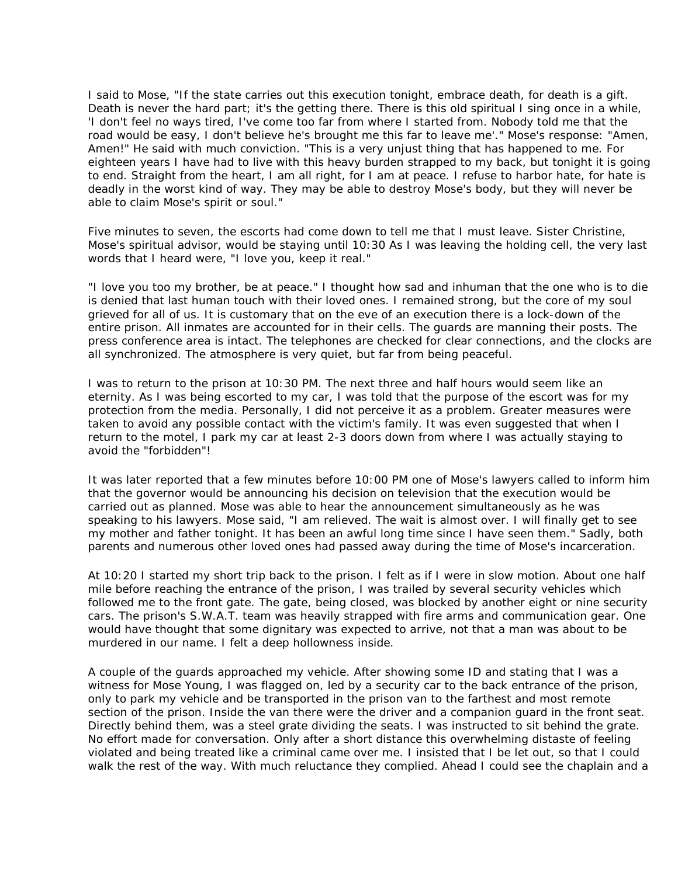I said to Mose, "If the state carries out this execution tonight, embrace death, for death is a gift. Death is never the hard part; it's the getting there. There is this old spiritual I sing once in a while, 'I don't feel no ways tired, I've come too far from where I started from. Nobody told me that the road would be easy, I don't believe he's brought me this far to leave me'." Mose's response: "Amen, Amen!" He said with much conviction. "This is a very unjust thing that has happened to me. For eighteen years I have had to live with this heavy burden strapped to my back, but tonight it is going to end. Straight from the heart, I am all right, for I am at peace. I refuse to harbor hate, for hate is deadly in the worst kind of way. They may be able to destroy Mose's body, but they will never be able to claim Mose's spirit or soul."

Five minutes to seven, the escorts had come down to tell me that I must leave. Sister Christine, Mose's spiritual advisor, would be staying until 10:30 As I was leaving the holding cell, the very last words that I heard were, "I love you, keep it real."

"I love you too my brother, be at peace." I thought how sad and inhuman that the one who is to die is denied that last human touch with their loved ones. I remained strong, but the core of my soul grieved for all of us. It is customary that on the eve of an execution there is a lock-down of the entire prison. All inmates are accounted for in their cells. The guards are manning their posts. The press conference area is intact. The telephones are checked for clear connections, and the clocks are all synchronized. The atmosphere is very quiet, but far from being peaceful.

I was to return to the prison at 10:30 PM. The next three and half hours would seem like an eternity. As I was being escorted to my car, I was told that the purpose of the escort was for my protection from the media. Personally, I did not perceive it as a problem. Greater measures were taken to avoid any possible contact with the victim's family. It was even suggested that when I return to the motel, I park my car at least 2-3 doors down from where I was actually staying to avoid the "forbidden"!

It was later reported that a few minutes before 10:00 PM one of Mose's lawyers called to inform him that the governor would be announcing his decision on television that the execution would be carried out as planned. Mose was able to hear the announcement simultaneously as he was speaking to his lawyers. Mose said, "I am relieved. The wait is almost over. I will finally get to see my mother and father tonight. It has been an awful long time since I have seen them." Sadly, both parents and numerous other loved ones had passed away during the time of Mose's incarceration.

At 10:20 I started my short trip back to the prison. I felt as if I were in slow motion. About one half mile before reaching the entrance of the prison, I was trailed by several security vehicles which followed me to the front gate. The gate, being closed, was blocked by another eight or nine security cars. The prison's S.W.A.T. team was heavily strapped with fire arms and communication gear. One would have thought that some dignitary was expected to arrive, not that a man was about to be murdered in our name. I felt a deep hollowness inside.

A couple of the guards approached my vehicle. After showing some ID and stating that I was a witness for Mose Young, I was flagged on, led by a security car to the back entrance of the prison, only to park my vehicle and be transported in the prison van to the farthest and most remote section of the prison. Inside the van there were the driver and a companion guard in the front seat. Directly behind them, was a steel grate dividing the seats. I was instructed to sit behind the grate. No effort made for conversation. Only after a short distance this overwhelming distaste of feeling violated and being treated like a criminal came over me. I insisted that I be let out, so that I could walk the rest of the way. With much reluctance they complied. Ahead I could see the chaplain and a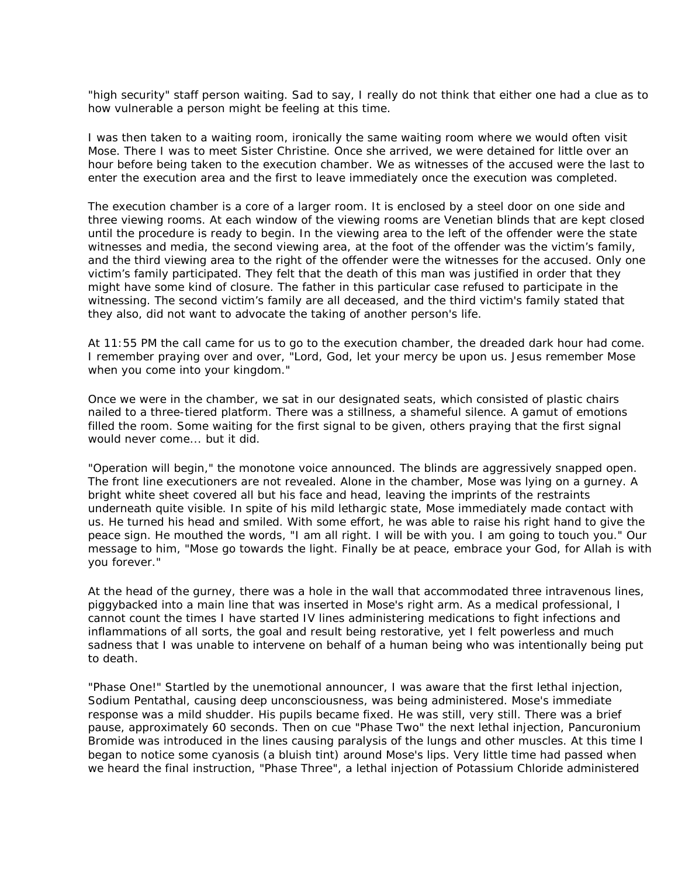"high security" staff person waiting. Sad to say, I really do not think that either one had a clue as to how vulnerable a person might be feeling at this time.

I was then taken to a waiting room, ironically the same waiting room where we would often visit Mose. There I was to meet Sister Christine. Once she arrived, we were detained for little over an hour before being taken to the execution chamber. We as witnesses of the accused were the last to enter the execution area and the first to leave immediately once the execution was completed.

The execution chamber is a core of a larger room. It is enclosed by a steel door on one side and three viewing rooms. At each window of the viewing rooms are Venetian blinds that are kept closed until the procedure is ready to begin. In the viewing area to the left of the offender were the state witnesses and media, the second viewing area, at the foot of the offender was the victim's family, and the third viewing area to the right of the offender were the witnesses for the accused. Only one victim's family participated. They felt that the death of this man was justified in order that they might have some kind of closure. The father in this particular case refused to participate in the witnessing. The second victim's family are all deceased, and the third victim's family stated that they also, did not want to advocate the taking of another person's life.

At 11:55 PM the call came for us to go to the execution chamber, the dreaded dark hour had come. I remember praying over and over, "Lord, God, let your mercy be upon us. Jesus remember Mose when you come into your kingdom."

Once we were in the chamber, we sat in our designated seats, which consisted of plastic chairs nailed to a three-tiered platform. There was a stillness, a shameful silence. A gamut of emotions filled the room. Some waiting for the first signal to be given, others praying that the first signal would never come... but it did.

"Operation will begin," the monotone voice announced. The blinds are aggressively snapped open. The front line executioners are not revealed. Alone in the chamber, Mose was lying on a gurney. A bright white sheet covered all but his face and head, leaving the imprints of the restraints underneath quite visible. In spite of his mild lethargic state, Mose immediately made contact with us. He turned his head and smiled. With some effort, he was able to raise his right hand to give the peace sign. He mouthed the words, "I am all right. I will be with you. I am going to touch you." Our message to him, "Mose go towards the light. Finally be at peace, embrace your God, for Allah is with you forever."

At the head of the gurney, there was a hole in the wall that accommodated three intravenous lines, piggybacked into a main line that was inserted in Mose's right arm. As a medical professional, I cannot count the times I have started IV lines administering medications to fight infections and inflammations of all sorts, the goal and result being restorative, yet I felt powerless and much sadness that I was unable to intervene on behalf of a human being who was intentionally being put to death.

"Phase One!" Startled by the unemotional announcer, I was aware that the first lethal injection, Sodium Pentathal, causing deep unconsciousness, was being administered. Mose's immediate response was a mild shudder. His pupils became fixed. He was still, very still. There was a brief pause, approximately 60 seconds. Then on cue "Phase Two" the next lethal injection, Pancuronium Bromide was introduced in the lines causing paralysis of the lungs and other muscles. At this time I began to notice some cyanosis (a bluish tint) around Mose's lips. Very little time had passed when we heard the final instruction, "Phase Three", a lethal injection of Potassium Chloride administered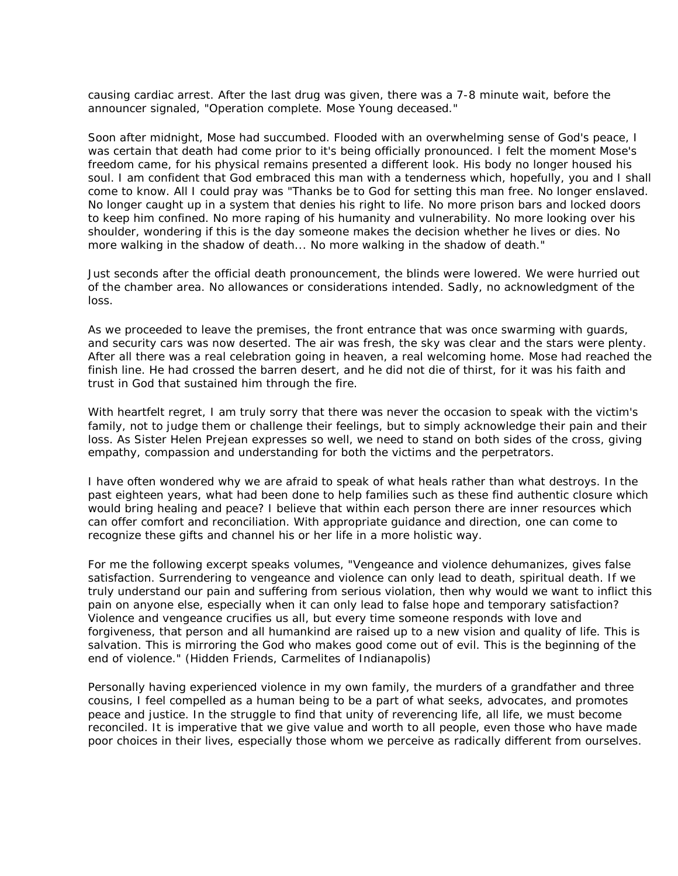causing cardiac arrest. After the last drug was given, there was a 7-8 minute wait, before the announcer signaled, "Operation complete. Mose Young deceased."

Soon after midnight, Mose had succumbed. Flooded with an overwhelming sense of God's peace, I was certain that death had come prior to it's being officially pronounced. I felt the moment Mose's freedom came, for his physical remains presented a different look. His body no longer housed his soul. I am confident that God embraced this man with a tenderness which, hopefully, you and I shall come to know. All I could pray was "Thanks be to God for setting this man free. No longer enslaved. No longer caught up in a system that denies his right to life. No more prison bars and locked doors to keep him confined. No more raping of his humanity and vulnerability. No more looking over his shoulder, wondering if this is the day someone makes the decision whether he lives or dies. No more walking in the shadow of death... No more walking in the shadow of death."

Just seconds after the official death pronouncement, the blinds were lowered. We were hurried out of the chamber area. No allowances or considerations intended. Sadly, no acknowledgment of the loss.

As we proceeded to leave the premises, the front entrance that was once swarming with guards, and security cars was now deserted. The air was fresh, the sky was clear and the stars were plenty. After all there was a real celebration going in heaven, a real welcoming home. Mose had reached the finish line. He had crossed the barren desert, and he did not die of thirst, for it was his faith and trust in God that sustained him through the fire.

With heartfelt regret, I am truly sorry that there was never the occasion to speak with the victim's family, not to judge them or challenge their feelings, but to simply acknowledge their pain and their loss. As Sister Helen Prejean expresses so well, we need to stand on both sides of the cross, giving empathy, compassion and understanding for both the victims and the perpetrators.

I have often wondered why we are afraid to speak of what heals rather than what destroys. In the past eighteen years, what had been done to help families such as these find authentic closure which would bring healing and peace? I believe that within each person there are inner resources which can offer comfort and reconciliation. With appropriate guidance and direction, one can come to recognize these gifts and channel his or her life in a more holistic way.

For me the following excerpt speaks volumes, "Vengeance and violence dehumanizes, gives false satisfaction. Surrendering to vengeance and violence can only lead to death, spiritual death. If we truly understand our pain and suffering from serious violation, then why would we want to inflict this pain on anyone else, especially when it can only lead to false hope and temporary satisfaction? Violence and vengeance crucifies us all, but every time someone responds with love and forgiveness, that person and all humankind are raised up to a new vision and quality of life. This is salvation. This is mirroring the God who makes good come out of evil. This is the beginning of the end of violence." (Hidden Friends, Carmelites of Indianapolis)

Personally having experienced violence in my own family, the murders of a grandfather and three cousins, I feel compelled as a human being to be a part of what seeks, advocates, and promotes peace and justice. In the struggle to find that unity of reverencing life, all life, we must become reconciled. It is imperative that we give value and worth to all people, even those who have made poor choices in their lives, especially those whom we perceive as radically different from ourselves.